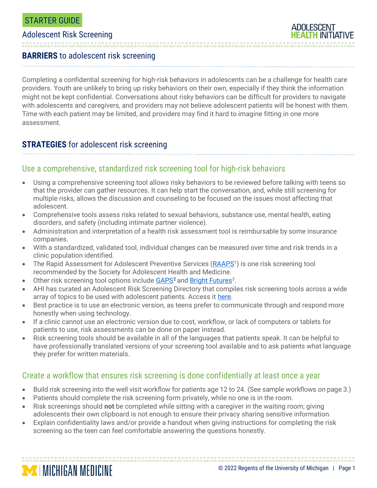### Adolescent Risk Screening

**MINICHIGAN MEDICINE** 

**ADOLESCENT** 

#### **BARRIERS** to adolescent risk screening

Completing a confidential screening for high-risk behaviors in adolescents can be a challenge for health care providers. Youth are unlikely to bring up risky behaviors on their own, especially if they think the information might not be kept confidential. Conversations about risky behaviors can be difficult for providers to navigate with adolescents and caregivers, and providers may not believe adolescent patients will be honest with them. Time with each patient may be limited, and providers may find it hard to imagine fitting in one more assessment.

# **STRATEGIES** for adolescent risk screening

## Use a comprehensive, standardized risk screening tool for high-risk behaviors

- Using a comprehensive screening tool allows risky behaviors to be reviewed before talking with teens so that the provider can gather resources. It can help start the conversation, and, while still screening for multiple risks, allows the discussion and counseling to be focused on the issues most affecting that adolescent.
- Comprehensive tools assess risks related to sexual behaviors, substance use, mental health, eating disorders, and safety (including intimate partner violence).
- Administration and interpretation of a health risk assessment tool is reimbursable by some insurance companies.
- With a standardized, validated tool, individual changes can be measured over time and risk trends in a clinic population identified.
- The Rapid Assessment for Adolescent Preventive Services [\(RAAPS](http://www.possibilitiesforchange.com/raaps/)<sup>1</sup>) is one risk screening tool recommended by the Society for Adolescent Health and Medicine.
- Other risk screening tool options include [GAPS](https://www.uvpediatrics.com/health-topics/stage/#GAPS)<sup>2</sup> and **Bright Futures**<sup>3</sup>.
- AHI has curated an Adolescent Risk Screening Directory that compiles risk screening tools across a wide array of topics to be used with adolescent patients. Access it [here.](https://docs.google.com/spreadsheets/d/1xzQAUb-SkqXCDYyfBbihd7MmV1PEGdTubx1hqyz5N1U/edit?usp=sharing)
- Best practice is to use an electronic version, as teens prefer to communicate through and respond more honestly when using technology.
- If a clinic cannot use an electronic version due to cost, workflow, or lack of computers or tablets for patients to use, risk assessments can be done on paper instead.
- Risk screening tools should be available in all of the languages that patients speak. It can be helpful to have professionally translated versions of your screening tool available and to ask patients what language they prefer for written materials.

### Create a workflow that ensures risk screening is done confidentially at least once a year

- Build risk screening into the well visit workflow for patients age 12 to 24. (See sample workflows on page 3.)
- Patients should complete the risk screening form privately, while no one is in the room.
- Risk screenings should **not** be completed while sitting with a caregiver in the waiting room; giving adolescents their own clipboard is not enough to ensure their privacy sharing sensitive information.
- Explain confidentiality laws and/or provide a handout when giving instructions for completing the risk screening so the teen can feel comfortable answering the questions honestly.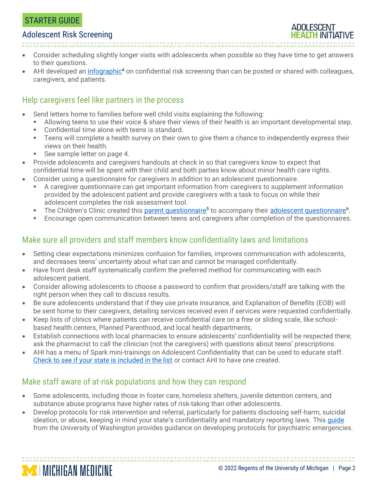# STARTER GUIDE

### Adolescent Risk Screening

- Consider scheduling slightly longer visits with adolescents when possible so they have time to get answers to their questions.
- AHI developed an *infographic<sup>4</sup>* on confidential risk screening than can be posted or shared with colleagues, caregivers, and patients.

## Help caregivers feel like partners in the process

- Send letters home to families before well child visits explaining the following:
	- Allowing teens to use their voice & share their views of their health is an important developmental step.
	- Confidential time alone with teens is standard.
	- Teens will complete a health survey on their own to give them a chance to independently express their views on their health.
	- See sample letter on page 4.

**MINICHIGAN MEDICINE** 

- Provide adolescents and caregivers handouts at check in so that caregivers know to expect that confidential time will be spent with their child and both parties know about minor health care rights.
- Consider using a questionnaire for caregivers in addition to an adolescent questionnaire.
	- A caregiver questionnaire can get important information from caregivers to supplement information provided by the adolescent patient and provide caregivers with a task to focus on while their adolescent completes the risk assessment tool.
	- The Children's Clinic created this [parent questionnaire](http://www.umhs-adolescenthealth.org/wp-content/uploads/2017/06/adolescent-parent-questionnaire-tcc.pdf)<sup>5</sup> to accompany thei[r adolescent questionnaire](http://www.umhs-adolescenthealth.org/wp-content/uploads/2017/06/adolescent-questionnaire-tcc.pdf)<sup>6</sup>.
	- Encourage open communication between teens and caregivers after completion of the questionnaires.

## Make sure all providers and staff members know confidentiality laws and limitations

- Setting clear expectations minimizes confusion for families, improves communication with adolescents, and decreases teens' uncertainty about what can and cannot be managed confidentially.
- Have front desk staff systematically confirm the preferred method for communicating with each adolescent patient.
- Consider allowing adolescents to choose a password to confirm that providers/staff are talking with the right person when they call to discuss results.
- Be sure adolescents understand that if they use private insurance, and Explanation of Benefits (EOB) will be sent home to their caregivers, detailing services received even if services were requested confidentially.
- Keep lists of clinics where patients can receive confidential care on a free or sliding scale, like schoolbased health centers, Planned Parenthood, and local health departments.
- Establish connections with local pharmacies to ensure adolescents' confidentiality will be respected there; ask the pharmacist to call the clinician (not the caregivers) with questions about teens' prescriptions.
- AHI has a menu of Spark mini-trainings on Adolescent Confidentiality that can be used to educate staff. [Check to see if your state is included in the list](https://www.umhs-adolescenthealth.org/improving-care/spark-trainings/confidentiality-laws/) or contact AHI to have one created.

## Make staff aware of at-risk populations and how they can respond

- Some adolescents, including those in foster care, homeless shelters, juvenile detention centers, and substance abuse programs have higher rates of risk-taking than other adolescents.
- Develop protocols for risk intervention and referral, particularly for patients disclosing self-harm, suicidal ideation, or abuse, keeping in mind your state's confidentiality and mandatory reporting laws. This quide from the University of Washington provides guidance on developing protocols for psychiatric emergencies.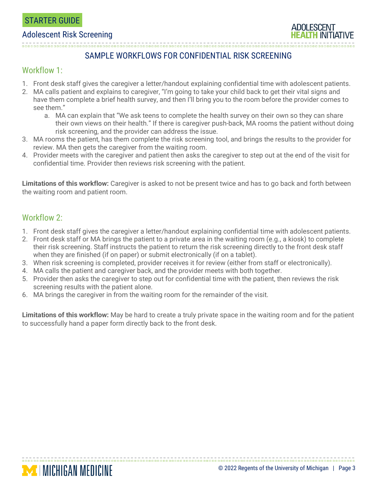#### Adolescent Risk Screening

## SAMPLE WORKFLOWS FOR CONFIDENTIAL RISK SCREENING

# Workflow 1:

- 1. Front desk staff gives the caregiver a letter/handout explaining confidential time with adolescent patients.
- 2. MA calls patient and explains to caregiver, "I'm going to take your child back to get their vital signs and have them complete a brief health survey, and then I'll bring you to the room before the provider comes to see them."
	- a. MA can explain that "We ask teens to complete the health survey on their own so they can share their own views on their health." If there is caregiver push-back, MA rooms the patient without doing risk screening, and the provider can address the issue.
- 3. MA rooms the patient, has them complete the risk screening tool, and brings the results to the provider for review. MA then gets the caregiver from the waiting room.
- 4. Provider meets with the caregiver and patient then asks the caregiver to step out at the end of the visit for confidential time. Provider then reviews risk screening with the patient.

**Limitations of this workflow:** Caregiver is asked to not be present twice and has to go back and forth between the waiting room and patient room.

# Workflow 2:

**MICHIGAN MEDICINE** 

- 1. Front desk staff gives the caregiver a letter/handout explaining confidential time with adolescent patients.
- 2. Front desk staff or MA brings the patient to a private area in the waiting room (e.g., a kiosk) to complete their risk screening. Staff instructs the patient to return the risk screening directly to the front desk staff when they are finished (if on paper) or submit electronically (if on a tablet).
- 3. When risk screening is completed, provider receives it for review (either from staff or electronically).
- 4. MA calls the patient and caregiver back, and the provider meets with both together.
- 5. Provider then asks the caregiver to step out for confidential time with the patient, then reviews the risk screening results with the patient alone.
- 6. MA brings the caregiver in from the waiting room for the remainder of the visit.

**Limitations of this workflow:** May be hard to create a truly private space in the waiting room and for the patient to successfully hand a paper form directly back to the front desk.